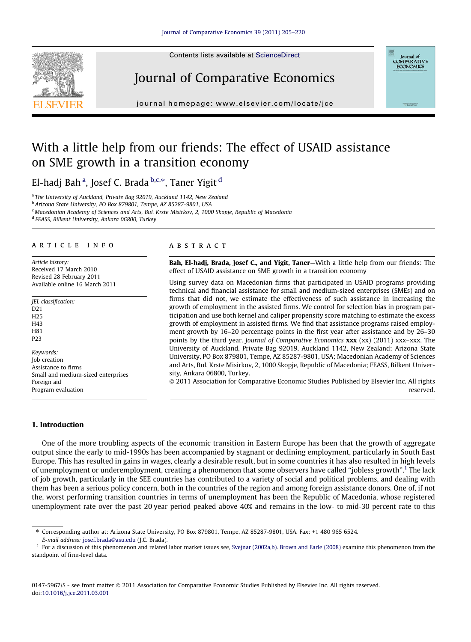Contents lists available at [ScienceDirect](http://www.sciencedirect.com/science/journal/01475967)







journal homepage: [www.elsevier.com/locate/jce](http://www.elsevier.com/locate/jce)

# With a little help from our friends: The effect of USAID assistance on SME growth in a transition economy

El-hadj Bah<sup>a</sup>, Josef C. Brada <sup>b,c,</sup>\*, Taner Yigit <sup>d</sup>

<sup>a</sup> The University of Auckland, Private Bag 92019, Auckland 1142, New Zealand

<sup>b</sup> Arizona State University, PO Box 879801, Tempe, AZ 85287-9801, USA

<sup>c</sup> Macedonian Academy of Sciences and Arts, Bul. Krste Misirkov, 2, 1000 Skopje, Republic of Macedonia

<sup>d</sup> FEASS, Bilkent University, Ankara 06800, Turkey

#### article info

Article history: Received 17 March 2010 Revised 28 February 2011 Available online 16 March 2011

JEL classification: D21 H25  $H43$ H81 P23

Keywords: Job creation Assistance to firms Small and medium-sized enterprises Foreign aid Program evaluation

### ABSTRACT

Bah, El-hadj, Brada, Josef C., and Yigit, Taner—With a little help from our friends: The effect of USAID assistance on SME growth in a transition economy

Using survey data on Macedonian firms that participated in USAID programs providing technical and financial assistance for small and medium-sized enterprises (SMEs) and on firms that did not, we estimate the effectiveness of such assistance in increasing the growth of employment in the assisted firms. We control for selection bias in program participation and use both kernel and caliper propensity score matching to estimate the excess growth of employment in assisted firms. We find that assistance programs raised employment growth by 16–20 percentage points in the first year after assistance and by 26–30 points by the third year. Journal of Comparative Economics  $xxx$  ( $xx$ ) (2011) xxx–xxx. The University of Auckland, Private Bag 92019, Auckland 1142, New Zealand; Arizona State University, PO Box 879801, Tempe, AZ 85287-9801, USA; Macedonian Academy of Sciences and Arts, Bul. Krste Misirkov, 2, 1000 Skopje, Republic of Macedonia; FEASS, Bilkent University, Ankara 06800, Turkey.

© 2011 Association for Comparative Economic Studies Published by Elsevier Inc. All rights reserved.

#### 1. Introduction

One of the more troubling aspects of the economic transition in Eastern Europe has been that the growth of aggregate output since the early to mid-1990s has been accompanied by stagnant or declining employment, particularly in South East Europe. This has resulted in gains in wages, clearly a desirable result, but in some countries it has also resulted in high levels of unemployment or underemployment, creating a phenomenon that some observers have called ''jobless growth''.1 The lack of job growth, particularly in the SEE countries has contributed to a variety of social and political problems, and dealing with them has been a serious policy concern, both in the countries of the region and among foreign assistance donors. One of, if not the, worst performing transition countries in terms of unemployment has been the Republic of Macedonia, whose registered unemployment rate over the past 20 year period peaked above 40% and remains in the low- to mid-30 percent rate to this

E-mail address: [josef.brada@asu.edu](mailto:josef.brada@asu.edu) (J.C. Brada).

<sup>⇑</sup> Corresponding author at: Arizona State University, PO Box 879801, Tempe, AZ 85287-9801, USA. Fax: +1 480 965 6524.

<sup>&</sup>lt;sup>1</sup> For a discussion of this phenomenon and related labor market issues see, [Svejnar \(2002a,b\)](#page--1-0). [Brown and Earle \(2008\)](#page--1-0) examine this phenomenon from the standpoint of firm-level data.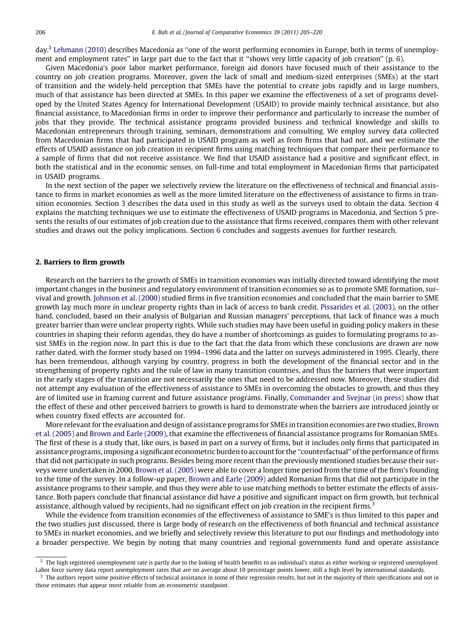day.<sup>2</sup> [Lehmann \(2010\)](#page--1-0) describes Macedonia as "one of the worst performing economies in Europe, both in terms of unemployment and employment rates" in large part due to the fact that it "shows very little capacity of job creation" (p. 6).

Given Macedonia's poor labor market performance, foreign aid donors have focused much of their assistance to the country on job creation programs. Moreover, given the lack of small and medium-sized enterprises (SMEs) at the start of transition and the widely-held perception that SMEs have the potential to create jobs rapidly and in large numbers, much of that assistance has been directed at SMEs. In this paper we examine the effectiveness of a set of programs developed by the United States Agency for International Development (USAID) to provide mainly technical assistance, but also financial assistance, to Macedonian firms in order to improve their performance and particularly to increase the number of jobs that they provide. The technical assistance programs provided business and technical knowledge and skills to Macedonian entrepreneurs through training, seminars, demonstrations and consulting. We employ survey data collected from Macedonian firms that had participated in USAID program as well as from firms that had not, and we estimate the effects of USAID assistance on job creation in recipient firms using matching techniques that compare their performance to a sample of firms that did not receive assistance. We find that USAID assistance had a positive and significant effect, in both the statistical and in the economic senses, on full-time and total employment in Macedonian firms that participated in USAID programs.

In the next section of the paper we selectively review the literature on the effectiveness of technical and financial assistance to firms in market economies as well as the more limited literature on the effectiveness of assistance to firms in transition economies. Section 3 describes the data used in this study as well as the surveys used to obtain the data. Section 4 explains the matching techniques we use to estimate the effectiveness of USAID programs in Macedonia, and Section 5 presents the results of our estimates of job creation due to the assistance that firms received, compares them with other relevant studies and draws out the policy implications. Section 6 concludes and suggests avenues for further research.

## 2. Barriers to firm growth

Research on the barriers to the growth of SMEs in transition economies was initially directed toward identifying the most important changes in the business and regulatory environment of transition economies so as to promote SME formation, survival and growth. [Johnson et al. \(2000\)](#page--1-0) studied firms in five transition economies and concluded that the main barrier to SME growth lay much more in unclear property rights than in lack of access to bank credit. [Pissarides et al. \(2003\)](#page--1-0), on the other hand, concluded, based on their analysis of Bulgarian and Russian managers' perceptions, that lack of finance was a much greater barrier than were unclear property rights. While such studies may have been useful in guiding policy makers in these countries in shaping their reform agendas, they do have a number of shortcomings as guides to formulating programs to assist SMEs in the region now. In part this is due to the fact that the data from which these conclusions are drawn are now rather dated, with the former study based on 1994–1996 data and the latter on surveys administered in 1995. Clearly, there has been tremendous, although varying by country, progress in both the development of the financial sector and in the strengthening of property rights and the rule of law in many transition countries, and thus the barriers that were important in the early stages of the transition are not necessarily the ones that need to be addressed now. Moreover, these studies did not attempt any evaluation of the effectiveness of assistance to SMEs in overcoming the obstacles to growth, and thus they are of limited use in framing current and future assistance programs. Finally, [Commander and Svejnar \(in press\)](#page--1-0) show that the effect of these and other perceived barriers to growth is hard to demonstrate when the barriers are introduced jointly or when country fixed effects are accounted for.

More relevant for the evaluation and design of assistance programs for SMEs in transition economies are two studies, [Brown](#page--1-0) [et al. \(2005\)](#page--1-0) and [Brown and Earle \(2009\),](#page--1-0) that examine the effectiveness of financial assistance programs for Romanian SMEs. The first of these is a study that, like ours, is based in part on a survey of firms, but it includes only firms that participated in assistance programs, imposing a significant econometric burden to account for the ''counterfactual'' of the performance of firms that did not participate in such programs. Besides being more recent than the previously mentioned studies because their surveys were undertaken in 2000, [Brown et al. \(2005\)](#page--1-0) were able to cover a longer time period from the time of the firm's founding to the time of the survey. In a follow-up paper, [Brown and Earle \(2009\)](#page--1-0) added Romanian firms that did not participate in the assistance programs to their sample, and thus they were able to use matching methods to better estimate the effects of assistance. Both papers conclude that financial assistance did have a positive and significant impact on firm growth, but technical assistance, although valued by recipients, had no significant effect on job creation in the recipient firms.<sup>3</sup>

While the evidence from transition economies of the effectiveness of assistance to SME's is thus limited to this paper and the two studies just discussed, there is large body of research on the effectiveness of both financial and technical assistance to SMEs in market economies, and we briefly and selectively review this literature to put our findings and methodology into a broader perspective. We begin by noting that many countries and regional governments fund and operate assistance

<sup>2</sup> The high registered unemployment rate is partly due to the linking of health benefits to an individual's status as either working or registered unemployed. Labor force survey data report unemployment rates that are on average about 10 percentage points lower, still a high level by international standards.

The authors report some positive effects of technical assistance in some of their regression results, but not in the majority of their specifications and not in those estimates that appear most reliable from an econometric standpoint.